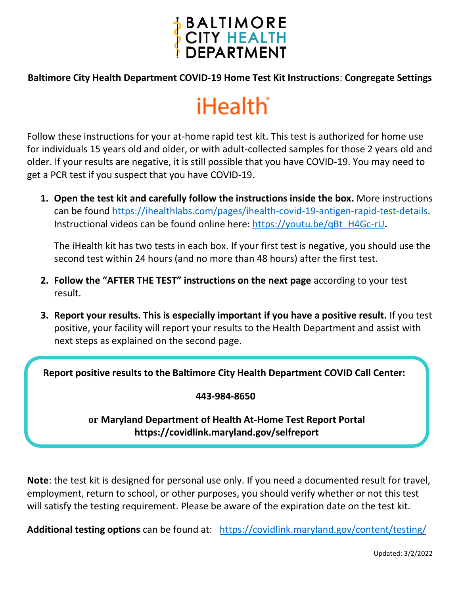

#### **Baltimore City Health Department COVID-19 Home Test Kit Instructions**: **Congregate Settings**

# **iHealth**

Follow these instructions for your at-home rapid test kit. This test is authorized for home use for individuals 15 years old and older, or with adult-collected samples for those 2 years old and older. If your results are negative, it is still possible that you have COVID-19. You may need to get a PCR test if you suspect that you have COVID-19.

**1. Open the test kit and carefully follow the instructions inside the box.** More instructions can be found [https://ihealthlabs.com/pages/ihealth-covid-19-antigen-rapid-test-details.](https://ihealthlabs.com/pages/ihealth-covid-19-antigen-rapid-test-details) Instructional videos can be found online here: [https://youtu.be/qBt\\_H4Gc-rU](https://youtu.be/qBt_H4Gc-rU)**.** 

The iHealth kit has two tests in each box. If your first test is negative, you should use the second test within 24 hours (and no more than 48 hours) after the first test.

- **2. Follow the "AFTER THE TEST" instructions on the next page** according to your test result.
- **3. Report your results. This is especially important if you have a positive result.** If you test positive, your facility will report your results to the Health Department and assist with next steps as explained on the second page.

**Report positive results to the Baltimore City Health Department COVID Call Center:**

#### **443-984-8650**

### **or Maryland Department of Health At-Home Test Report Portal https://covidlink.maryland.gov/selfreport**

**Note**: the test kit is designed for personal use only. If you need a documented result for travel, employment, return to school, or other purposes, you should verify whether or not this test will satisfy the testing requirement. Please be aware of the expiration date on the test kit.

**Additional testing options** can be found at: <https://covidlink.maryland.gov/content/testing/>